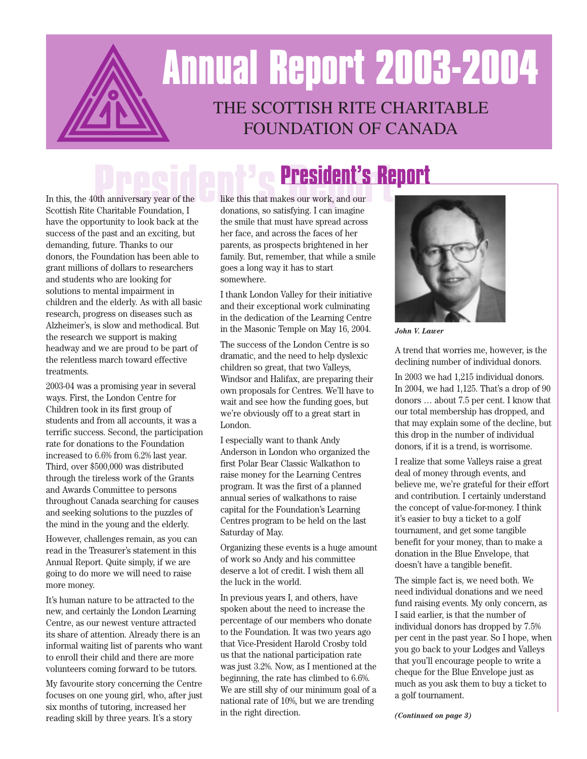# THE SCOTTISH RITE CHARITABLE FOUNDATION OF CANADA **Annual Report 2003-2004**

In this, the 40th anniversary year of the **President's Report** Scottish Rite Charitable Foundation, I donations, so satisfying. I can imagine have the opportunity to look back at the success of the past and an exciting, but demanding, future. Thanks to our donors, the Foundation has been able to grant millions of dollars to researchers and students who are looking for solutions to mental impairment in children and the elderly. As with all basic research, progress on diseases such as Alzheimer's, is slow and methodical. But the research we support is making headway and we are proud to be part of the relentless march toward effective treatments.

2003-04 was a promising year in several ways. First, the London Centre for Children took in its first group of students and from all accounts, it was a terrific success. Second, the participation rate for donations to the Foundation increased to 6.6% from 6.2% last year. Third, over \$500,000 was distributed through the tireless work of the Grants and Awards Committee to persons throughout Canada searching for causes and seeking solutions to the puzzles of the mind in the young and the elderly.

However, challenges remain, as you can read in the Treasurer's statement in this Annual Report. Quite simply, if we are going to do more we will need to raise more money.

It's human nature to be attracted to the new, and certainly the London Learning Centre, as our newest venture attracted its share of attention. Already there is an informal waiting list of parents who want to enroll their child and there are more volunteers coming forward to be tutors.

My favourite story concerning the Centre focuses on one young girl, who, after just six months of tutoring, increased her reading skill by three years. It's a story

like this that makes our work, and our donations, so satisfying. I can imagine the smile that must have spread across her face, and across the faces of her parents, as prospects brightened in her family. But, remember, that while a smile goes a long way it has to start somewhere.

I thank London Valley for their initiative and their exceptional work culminating in the dedication of the Learning Centre in the Masonic Temple on May 16, 2004.

The success of the London Centre is so dramatic, and the need to help dyslexic children so great, that two Valleys, Windsor and Halifax, are preparing their own proposals for Centres. We'll have to wait and see how the funding goes, but we're obviously off to a great start in London.

I especially want to thank Andy Anderson in London who organized the first Polar Bear Classic Walkathon to raise money for the Learning Centres program. It was the first of a planned annual series of walkathons to raise capital for the Foundation's Learning Centres program to be held on the last Saturday of May.

Organizing these events is a huge amount of work so Andy and his committee deserve a lot of credit. I wish them all the luck in the world.

In previous years I, and others, have spoken about the need to increase the percentage of our members who donate to the Foundation. It was two years ago that Vice-President Harold Crosby told us that the national participation rate was just 3.2%. Now, as I mentioned at the beginning, the rate has climbed to 6.6%. We are still shy of our minimum goal of a national rate of 10%, but we are trending in the right direction.



*John V. Lawer*

A trend that worries me, however, is the declining number of individual donors.

In 2003 we had 1,215 individual donors. In 2004, we had 1,125. That's a drop of 90 donors … about 7.5 per cent. I know that our total membership has dropped, and that may explain some of the decline, but this drop in the number of individual donors, if it is a trend, is worrisome.

I realize that some Valleys raise a great deal of money through events, and believe me, we're grateful for their effort and contribution. I certainly understand the concept of value-for-money. I think it's easier to buy a ticket to a golf tournament, and get some tangible benefit for your money, than to make a donation in the Blue Envelope, that doesn't have a tangible benefit.

The simple fact is, we need both. We need individual donations and we need fund raising events. My only concern, as I said earlier, is that the number of individual donors has dropped by 7.5% per cent in the past year. So I hope, when you go back to your Lodges and Valleys that you'll encourage people to write a cheque for the Blue Envelope just as much as you ask them to buy a ticket to a golf tournament.

*(Continued on page 3)*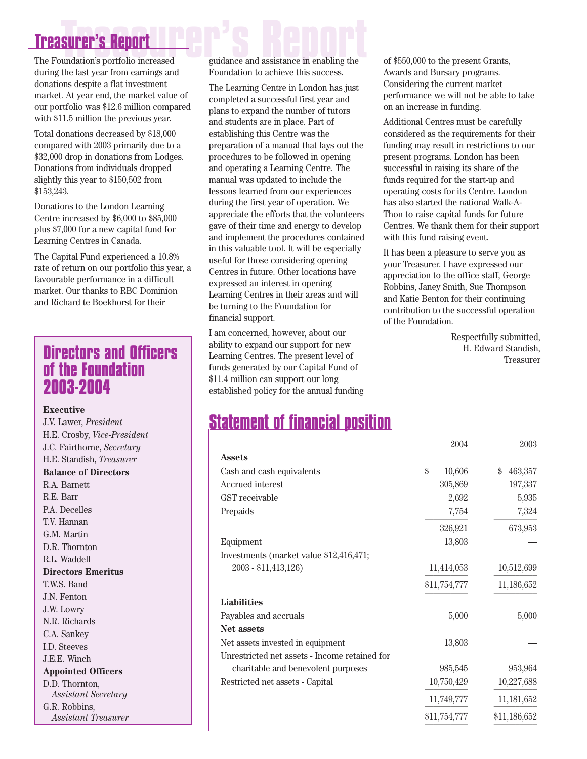## **Treasurer's Report**<br>The Foundation's portfolio increased guidance and assistance in enabling the **Treasurer's Report**

during the last year from earnings and donations despite a flat investment market. At year end, the market value of our portfolio was \$12.6 million compared with \$11.5 million the previous year.

Total donations decreased by \$18,000 compared with 2003 primarily due to a \$32,000 drop in donations from Lodges. Donations from individuals dropped slightly this year to \$150,502 from \$153,243.

Donations to the London Learning Centre increased by \$6,000 to \$85,000 plus \$7,000 for a new capital fund for Learning Centres in Canada.

The Capital Fund experienced a 10.8% rate of return on our portfolio this year, a favourable performance in a difficult market. Our thanks to RBC Dominion and Richard te Boekhorst for their

#### **Directors and Officers of the Foundation 2003-2004**

#### **Executive**

J.V. Lawer, *President* H.E. Crosby, *Vice-President* J.C. Fairthorne, *Secretary* H.E. Standish, *Treasurer* **Balance of Directors** R.A. Barnett R.E. Barr P.A. Decelles T.V. Hannan G.M. Martin D.R. Thornton R.L. Waddell **Directors Emeritus** T.W.S. Band J.N. Fenton J.W. Lowry N.R. Richards C.A. Sankey I.D. Steeves J.E.E. Winch **Appointed Officers** D.D. Thornton, *Assistant Secretary* G.R. Robbins,

*Assistant Treasurer*

guidance and assistance in enabling the Foundation to achieve this success.

The Learning Centre in London has just completed a successful first year and plans to expand the number of tutors and students are in place. Part of establishing this Centre was the preparation of a manual that lays out the procedures to be followed in opening and operating a Learning Centre. The manual was updated to include the lessons learned from our experiences during the first year of operation. We appreciate the efforts that the volunteers gave of their time and energy to develop and implement the procedures contained in this valuable tool. It will be especially useful for those considering opening Centres in future. Other locations have expressed an interest in opening Learning Centres in their areas and will be turning to the Foundation for financial support.

I am concerned, however, about our ability to expand our support for new Learning Centres. The present level of funds generated by our Capital Fund of \$11.4 million can support our long established policy for the annual funding of \$550,000 to the present Grants, Awards and Bursary programs. Considering the current market performance we will not be able to take on an increase in funding.

Additional Centres must be carefully considered as the requirements for their funding may result in restrictions to our present programs. London has been successful in raising its share of the funds required for the start-up and operating costs for its Centre. London has also started the national Walk-A-Thon to raise capital funds for future Centres. We thank them for their support with this fund raising event.

It has been a pleasure to serve you as your Treasurer. I have expressed our appreciation to the office staff, George Robbins, Janey Smith, Sue Thompson and Katie Benton for their continuing contribution to the successful operation of the Foundation.

> Respectfully submitted, H. Edward Standish, Treasurer

#### **Statement of financial position**

|                                               | 2004         | 2003          |
|-----------------------------------------------|--------------|---------------|
| <b>Assets</b>                                 |              |               |
| Cash and cash equivalents                     | \$<br>10,606 | 463,357<br>\$ |
| <b>Accrued</b> interest                       | 305,869      | 197,337       |
| GST receivable                                | 2,692        | 5,935         |
| Prepaids                                      | 7,754        | 7,324         |
|                                               | 326,921      | 673,953       |
| Equipment                                     | 13,803       |               |
| Investments (market value \$12,416,471;       |              |               |
| 2003 - \$11,413,126)                          | 11,414,053   | 10,512,699    |
|                                               | \$11,754,777 | 11,186,652    |
| <b>Liabilities</b>                            |              |               |
| Payables and accruals                         | 5,000        | 5,000         |
| Net assets                                    |              |               |
| Net assets invested in equipment              | 13,803       |               |
| Unrestricted net assets - Income retained for |              |               |
| charitable and benevolent purposes            | 985,545      | 953,964       |
| Restricted net assets - Capital               | 10,750,429   | 10,227,688    |
|                                               | 11,749,777   | 11,181,652    |
|                                               | \$11,754,777 | \$11,186,652  |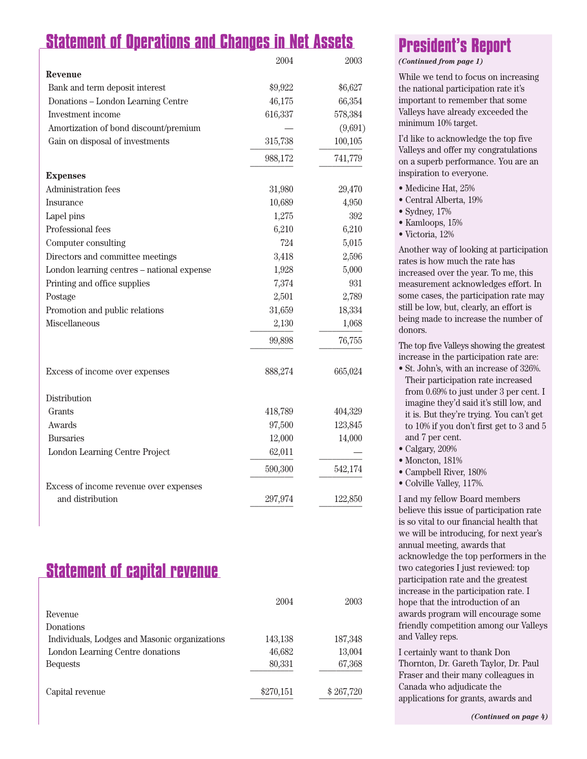### **Statement of Operations and Changes in Net Assets**

|                                            | 2004    | 2003    |
|--------------------------------------------|---------|---------|
| Revenue                                    |         |         |
| Bank and term deposit interest             | \$9,922 | \$6,627 |
| Donations - London Learning Centre         | 46,175  | 66,354  |
| Investment income                          | 616,337 | 578,384 |
| Amortization of bond discount/premium      |         | (9,691) |
| Gain on disposal of investments            | 315,738 | 100,105 |
|                                            | 988,172 | 741,779 |
| <b>Expenses</b>                            |         |         |
| Administration fees                        | 31,980  | 29,470  |
| Insurance                                  | 10,689  | 4,950   |
| Lapel pins                                 | 1,275   | 392     |
| Professional fees                          | 6,210   | 6,210   |
| Computer consulting                        | 724     | 5,015   |
| Directors and committee meetings           | 3,418   | 2,596   |
| London learning centres - national expense | 1,928   | 5,000   |
| Printing and office supplies               | 7,374   | 931     |
| Postage                                    | 2,501   | 2,789   |
| Promotion and public relations             | 31,659  | 18,334  |
| Miscellaneous                              | 2,130   | 1,068   |
|                                            | 99,898  | 76,755  |
| Excess of income over expenses             | 888,274 | 665,024 |
| Distribution                               |         |         |
| Grants                                     | 418,789 | 404,329 |
| Awards                                     | 97,500  | 123,845 |
| <b>Bursaries</b>                           | 12,000  | 14,000  |
| London Learning Centre Project             | 62,011  |         |
|                                            | 590,300 | 542,174 |
| Excess of income revenue over expenses     |         |         |
| and distribution                           | 297,974 | 122,850 |

#### **Statement of capital revenue**

|                                               | 2004      | 2003      |
|-----------------------------------------------|-----------|-----------|
| Revenue                                       |           |           |
| Donations                                     |           |           |
| Individuals, Lodges and Masonic organizations | 143,138   | 187,348   |
| London Learning Centre donations              | 46,682    | 13,004    |
| <b>Bequests</b>                               | 80,331    | 67,368    |
|                                               |           |           |
| Capital revenue                               | \$270,151 | \$267,720 |
|                                               |           |           |

### **President's Report**

*(Continued from page 1)*

While we tend to focus on increasing the national participation rate it's important to remember that some Valleys have already exceeded the minimum 10% target.

I'd like to acknowledge the top five Valleys and offer my congratulations on a superb performance. You are an inspiration to everyone.

- Medicine Hat, 25%
- Central Alberta, 19%
- Sydney, 17%
- Kamloops, 15%
- Victoria, 12%

Another way of looking at participation rates is how much the rate has increased over the year. To me, this measurement acknowledges effort. In some cases, the participation rate may still be low, but, clearly, an effort is being made to increase the number of donors.

The top five Valleys showing the greatest increase in the participation rate are:

- St. John's, with an increase of 326%. Their participation rate increased from 0.69% to just under 3 per cent. I imagine they'd said it's still low, and it is. But they're trying. You can't get to 10% if you don't first get to 3 and 5 and 7 per cent.
- Calgary, 209%
- Moncton, 181%
- Campbell River, 180%
- Colville Valley, 117%.

I and my fellow Board members believe this issue of participation rate is so vital to our financial health that we will be introducing, for next year's annual meeting, awards that acknowledge the top performers in the two categories I just reviewed: top participation rate and the greatest increase in the participation rate. I hope that the introduction of an awards program will encourage some friendly competition among our Valleys and Valley reps.

I certainly want to thank Don Thornton, Dr. Gareth Taylor, Dr. Paul Fraser and their many colleagues in Canada who adjudicate the applications for grants, awards and